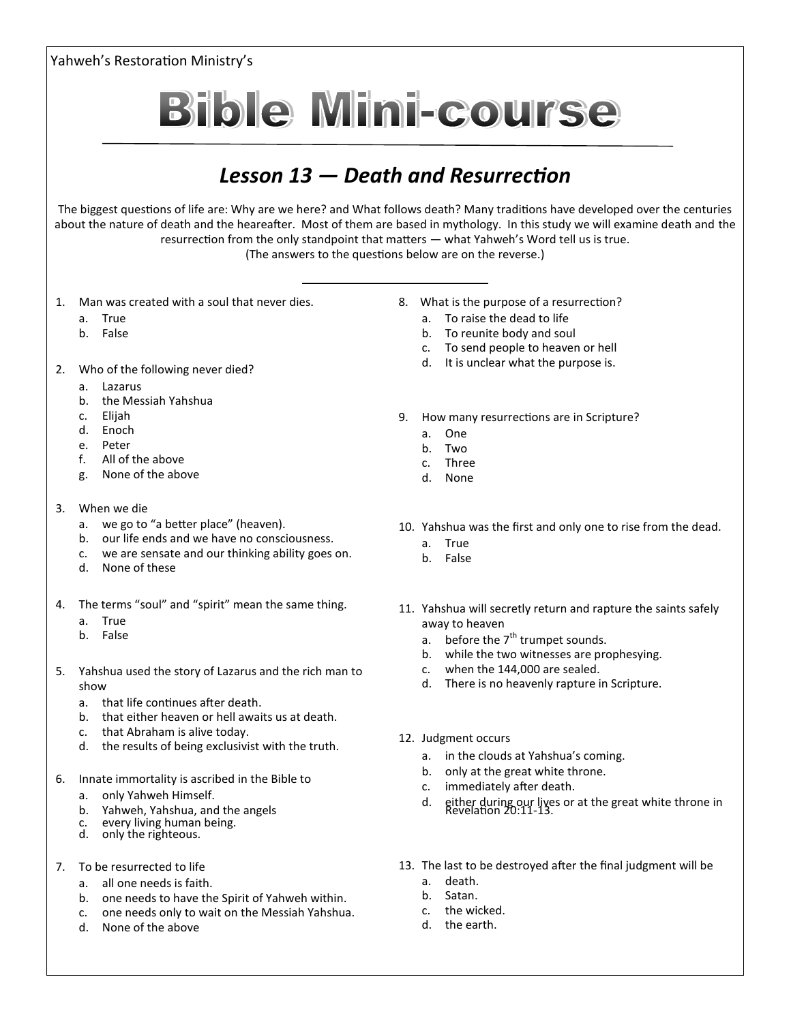Yahweh's Restoration Ministry's **Bible Mini-course** *Lesson 13 — Death and Resurrection* The biggest questions of life are: Why are we here? and What follows death? Many traditions have developed over the centuries about the nature of death and the heareafter. Most of them are based in mythology. In this study we will examine death and the resurrection from the only standpoint that matters — what Yahweh's Word tell us is true. (The answers to the questions below are on the reverse.) 1. Man was created with a soul that never dies. 8. What is the purpose of a resurrection? a. True a. To raise the dead to life b. To reunite body and soul

- b. False
- 2. Who of the following never died?
	- a. Lazarus
	- b. the Messiah Yahshua
	- c. Elijah
	- d. Enoch
	- e. Peter
	- f. All of the above
	- g. None of the above
- 3. When we die
	- a. we go to "a better place" (heaven).
	- b. our life ends and we have no consciousness.
	- c. we are sensate and our thinking ability goes on.
	- d. None of these
- 4. The terms "soul" and "spirit" mean the same thing.
	- a. True
	- b. False
- 5. Yahshua used the story of Lazarus and the rich man to show
	- a. that life continues after death.
	- b. that either heaven or hell awaits us at death.
	- c. that Abraham is alive today.
	- d. the results of being exclusivist with the truth.
- 6. Innate immortality is ascribed in the Bible to
	- a. only Yahweh Himself.
	- b. Yahweh, Yahshua, and the angels
	- c. every living human being.
	- d. only the righteous.
- 7. To be resurrected to life
	- a. all one needs is faith.
	- b. one needs to have the Spirit of Yahweh within.
	- c. one needs only to wait on the Messiah Yahshua.
	- d. None of the above

a. One b. Two

c. To send people to heaven or hell d. It is unclear what the purpose is.

9. How many resurrections are in Scripture?

- c. Three
- d. None
- 10. Yahshua was the first and only one to rise from the dead.
	- a. True
	- b. False
- 11. Yahshua will secretly return and rapture the saints safely away to heaven
	- a. before the  $7<sup>th</sup>$  trumpet sounds.
	- b. while the two witnesses are prophesying.
	- c. when the 144,000 are sealed.
	- d. There is no heavenly rapture in Scripture.
- 12. Judgment occurs
	- a. in the clouds at Yahshua's coming.
	- b. only at the great white throne.
	- c. immediately after death.
	- d. either during our lives or at the great white throne in Revelation 20:11-13.
- 13. The last to be destroyed after the final judgment will be
	- a. death.
	- b. Satan.
	- c. the wicked.
	- d. the earth.